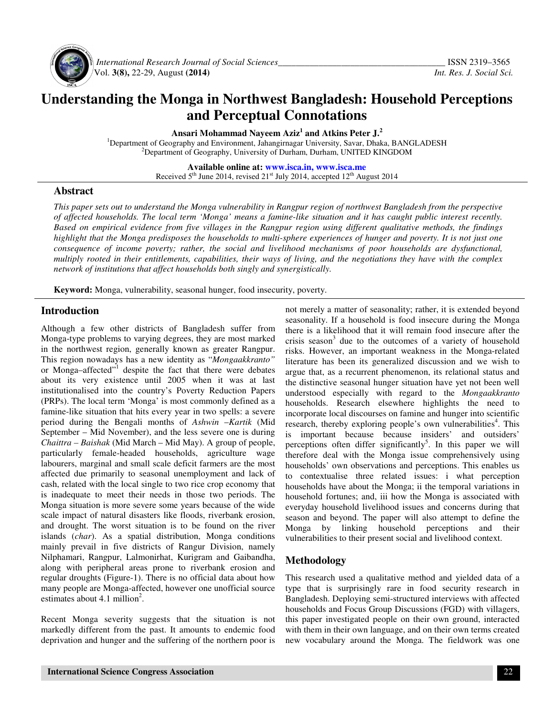

 *International Research Journal of Social Sciences\_\_\_\_\_\_\_\_\_\_\_\_\_\_\_\_\_\_\_\_\_\_\_\_\_\_\_\_\_\_\_\_\_\_\_\_\_* ISSN 2319–3565 Vol. **3(8),** 22-29, August **(2014)** *Int. Res. J. Social Sci.*

# **Understanding the Monga in Northwest Bangladesh: Household Perceptions and Perceptual Connotations**

**Ansari Mohammad Nayeem Aziz<sup>1</sup> and Atkins Peter J.<sup>2</sup>**

<sup>1</sup>Department of Geography and Environment, Jahangirnagar University, Savar, Dhaka, BANGLADESH <sup>2</sup>Department of Geography, University of Durham, Durham, UNITED KINGDOM

> **Available online at: www.isca.in, www.isca.me** Received 5<sup>th</sup> June 2014, revised 21<sup>st</sup> July 2014, accepted 12<sup>th</sup> August 2014

## **Abstract**

*This paper sets out to understand the Monga vulnerability in Rangpur region of northwest Bangladesh from the perspective of affected households. The local term 'Monga' means a famine-like situation and it has caught public interest recently. Based on empirical evidence from five villages in the Rangpur region using different qualitative methods, the findings highlight that the Monga predisposes the households to multi-sphere experiences of hunger and poverty. It is not just one*  consequence of income poverty; rather, the social and livelihood mechanisms of poor households are dysfunctional, *multiply rooted in their entitlements, capabilities, their ways of living, and the negotiations they have with the complex network of institutions that affect households both singly and synergistically.* 

**Keyword:** Monga, vulnerability, seasonal hunger, food insecurity, poverty.

## **Introduction**

Although a few other districts of Bangladesh suffer from Monga-type problems to varying degrees, they are most marked in the northwest region, generally known as greater Rangpur. This region nowadays has a new identity as "*Mongaakkranto"*  or Monga-affected"<sup>1</sup> despite the fact that there were debates about its very existence until 2005 when it was at last institutionalised into the country's Poverty Reduction Papers (PRPs). The local term 'Monga' is most commonly defined as a famine-like situation that hits every year in two spells: a severe period during the Bengali months of *Ashwin* –*Kartik* (Mid September – Mid November), and the less severe one is during *Chaittra – Baishak* (Mid March – Mid May). A group of people, particularly female-headed households, agriculture wage labourers, marginal and small scale deficit farmers are the most affected due primarily to seasonal unemployment and lack of cash, related with the local single to two rice crop economy that is inadequate to meet their needs in those two periods. The Monga situation is more severe some years because of the wide scale impact of natural disasters like floods, riverbank erosion, and drought. The worst situation is to be found on the river islands (*char*). As a spatial distribution, Monga conditions mainly prevail in five districts of Rangur Division, namely Nilphamari, Rangpur, Lalmonirhat, Kurigram and Gaibandha, along with peripheral areas prone to riverbank erosion and regular droughts (Figure-1). There is no official data about how many people are Monga-affected, however one unofficial source estimates about  $4.1$  million<sup>2</sup>.

Recent Monga severity suggests that the situation is not markedly different from the past. It amounts to endemic food deprivation and hunger and the suffering of the northern poor is not merely a matter of seasonality; rather, it is extended beyond seasonality. If a household is food insecure during the Monga there is a likelihood that it will remain food insecure after the crisis season<sup>3</sup> due to the outcomes of a variety of household risks. However, an important weakness in the Monga-related literature has been its generalized discussion and we wish to argue that, as a recurrent phenomenon, its relational status and the distinctive seasonal hunger situation have yet not been well understood especially with regard to the *Mongaakkranto*  households. Research elsewhere highlights the need to incorporate local discourses on famine and hunger into scientific research, thereby exploring people's own vulnerabilities<sup>4</sup>. This is important because because insiders' and outsiders' perceptions often differ significantly<sup>5</sup>. In this paper we will therefore deal with the Monga issue comprehensively using households' own observations and perceptions. This enables us to contextualise three related issues: i what perception households have about the Monga; ii the temporal variations in household fortunes; and, iii how the Monga is associated with everyday household livelihood issues and concerns during that season and beyond. The paper will also attempt to define the Monga by linking household perceptions and their vulnerabilities to their present social and livelihood context.

## **Methodology**

This research used a qualitative method and yielded data of a type that is surprisingly rare in food security research in Bangladesh. Deploying semi-structured interviews with affected households and Focus Group Discussions (FGD) with villagers, this paper investigated people on their own ground, interacted with them in their own language, and on their own terms created new vocabulary around the Monga. The fieldwork was one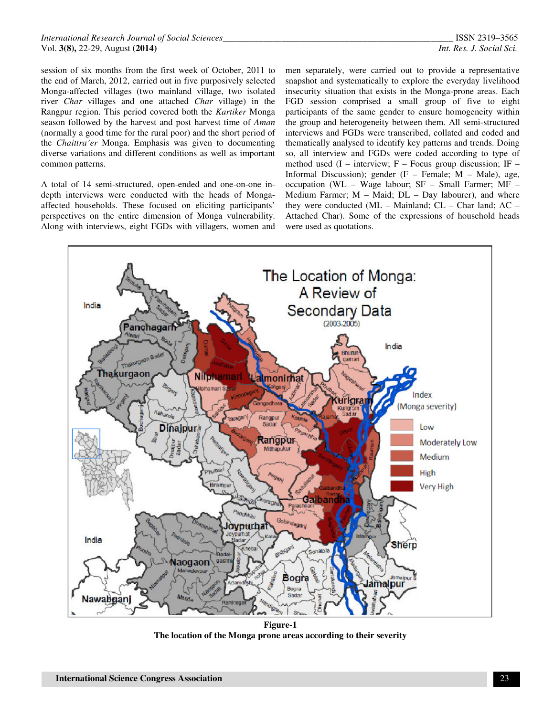session of six months from the first week of October, 2011 to the end of March, 2012, carried out in five purposively selected Monga-affected villages (two mainland village, two isolated river *Char* villages and one attached *Char* village) in the Rangpur region. This period covered both the *Kartiker* Monga season followed by the harvest and post harvest time of *Aman*  (normally a good time for the rural poor) and the short period of the *Chaittra'er* Monga. Emphasis was given to documenting diverse variations and different conditions as well as important common patterns.

A total of 14 semi-structured, open-ended and one-on-one indepth interviews were conducted with the heads of Mongaaffected households. These focused on eliciting participants' perspectives on the entire dimension of Monga vulnerability. Along with interviews, eight FGDs with villagers, women and

men separately, were carried out to provide a representative snapshot and systematically to explore the everyday livelihood insecurity situation that exists in the Monga-prone areas. Each FGD session comprised a small group of five to eight participants of the same gender to ensure homogeneity within the group and heterogeneity between them. All semi-structured interviews and FGDs were transcribed, collated and coded and thematically analysed to identify key patterns and trends. Doing so, all interview and FGDs were coded according to type of method used  $(I -$  interview;  $F -$  Focus group discussion; IF – Informal Discussion); gender  $(F - Female; M - Male)$ , age, occupation (WL – Wage labour; SF – Small Farmer; MF – Medium Farmer;  $M -$  Maid;  $DL - Day$  labourer), and where they were conducted  $(ML - Mainland; CL - Char land; AC -$ Attached Char). Some of the expressions of household heads were used as quotations.



**Figure-1 The location of the Monga prone areas according to their severity**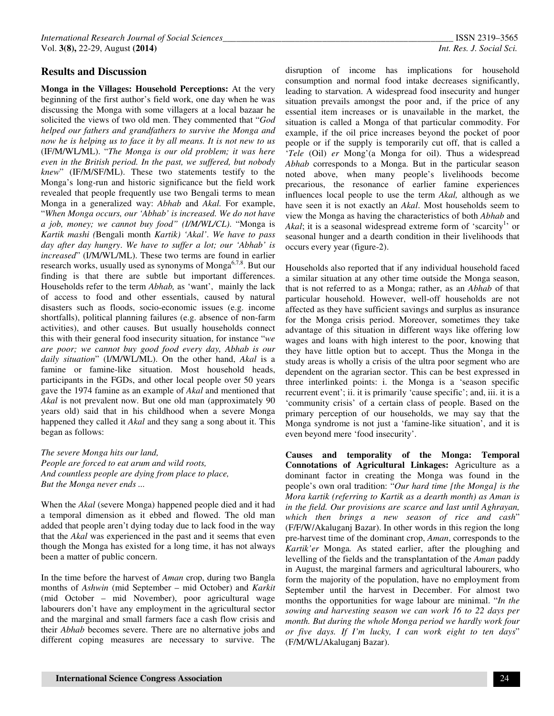#### **Results and Discussion**

**Monga in the Villages: Household Perceptions:** At the very beginning of the first author's field work, one day when he was discussing the Monga with some villagers at a local bazaar he solicited the views of two old men. They commented that "*God helped our fathers and grandfathers to survive the Monga and now he is helping us to face it by all means. It is not new to us* (IF/M/WL/ML). "*The Monga is our old problem; it was here even in the British period. In the past, we suffered, but nobody knew*" (IF/M/SF/ML). These two statements testify to the Monga's long-run and historic significance but the field work revealed that people frequently use two Bengali terms to mean Monga in a generalized way: *Abhab* and *Akal.* For example, "*When Monga occurs, our 'Abhab' is increased. We do not have a job, money; we cannot buy food" (I/M/WL/CL)*. "Monga is *Kartik mashi (*Bengali month *Kartik) 'Akal'*. *We have to pass day after day hungry*. *We have to suffer a lot; our 'Abhab' is increased*" (I/M/WL/ML). These two terms are found in earlier research works, usually used as synonyms of Monga<sup>6,7,8</sup>. But our finding is that there are subtle but important differences. Households refer to the term *Abhab,* as 'want', mainly the lack of access to food and other essentials, caused by natural disasters such as floods, socio-economic issues (e.g. income shortfalls), political planning failures (e.g. absence of non-farm activities), and other causes. But usually households connect this with their general food insecurity situation, for instance "*we are poor; we cannot buy good food every day, Abhab is our daily situation*" (I/M/WL/ML). On the other hand, *Akal* is a famine or famine-like situation. Most household heads, participants in the FGDs, and other local people over 50 years gave the 1974 famine as an example of *Akal* and mentioned that *Akal* is not prevalent now. But one old man (approximately 90 years old) said that in his childhood when a severe Monga happened they called it *Akal* and they sang a song about it. This began as follows:

*The severe Monga hits our land, People are forced to eat arum and wild roots, And countless people are dying from place to place, But the Monga never ends ...* 

When the *Akal* (severe Monga) happened people died and it had a temporal dimension as it ebbed and flowed. The old man added that people aren't dying today due to lack food in the way that the *Akal* was experienced in the past and it seems that even though the Monga has existed for a long time, it has not always been a matter of public concern.

In the time before the harvest of *Aman* crop, during two Bangla months of *Ashwin* (mid September – mid October) and *Karkit*  (mid October – mid November), poor agricultural wage labourers don't have any employment in the agricultural sector and the marginal and small farmers face a cash flow crisis and their *Abhab* becomes severe. There are no alternative jobs and different coping measures are necessary to survive. The

disruption of income has implications for household consumption and normal food intake decreases significantly, leading to starvation. A widespread food insecurity and hunger situation prevails amongst the poor and, if the price of any essential item increases or is unavailable in the market, the situation is called a Monga of that particular commodity. For example, if the oil price increases beyond the pocket of poor people or if the supply is temporarily cut off, that is called a '*Tele* (Oil) *er* Mong'(a Monga for oil). Thus a widespread *Abhab* corresponds to a Monga. But in the particular season noted above, when many people's livelihoods become precarious, the resonance of earlier famine experiences influences local people to use the term *Akal,* although as we have seen it is not exactly an *Akal*. Most households seem to view the Monga as having the characteristics of both *Abhab* and Akal; it is a seasonal widespread extreme form of 'scarcity<sup>1</sup>' or seasonal hunger and a dearth condition in their livelihoods that occurs every year (figure-2).

Households also reported that if any individual household faced a similar situation at any other time outside the Monga season, that is not referred to as a Monga; rather, as an *Abhab* of that particular household. However, well-off households are not affected as they have sufficient savings and surplus as insurance for the Monga crisis period. Moreover, sometimes they take advantage of this situation in different ways like offering low wages and loans with high interest to the poor, knowing that they have little option but to accept. Thus the Monga in the study areas is wholly a crisis of the ultra poor segment who are dependent on the agrarian sector. This can be best expressed in three interlinked points: i. the Monga is a 'season specific recurrent event'; ii. it is primarily 'cause specific'; and, iii. it is a 'community crisis' of a certain class of people. Based on the primary perception of our households, we may say that the Monga syndrome is not just a 'famine-like situation', and it is even beyond mere 'food insecurity'.

**Causes and temporality of the Monga: Temporal Connotations of Agricultural Linkages:** Agriculture as a dominant factor in creating the Monga was found in the people's own oral tradition: "*Our hard time [the Monga] is the Mora kartik (referring to Kartik as a dearth month) as Aman is in the field. Our provisions are scarce and last until Aghrayan, which then brings a new season of rice and cash*" (F/F/W/Akaluganj Bazar). In other words in this region the long pre-harvest time of the dominant crop, *Aman*, corresponds to the *Kartik'er* Monga*.* As stated earlier, after the ploughing and levelling of the fields and the transplantation of the *Aman* paddy in August, the marginal farmers and agricultural labourers, who form the majority of the population, have no employment from September until the harvest in December. For almost two months the opportunities for wage labour are minimal. "*In the sowing and harvesting season we can work 16 to 22 days per month. But during the whole Monga period we hardly work four or five days. If I'm lucky, I can work eight to ten days*" (F/M/WL/Akaluganj Bazar).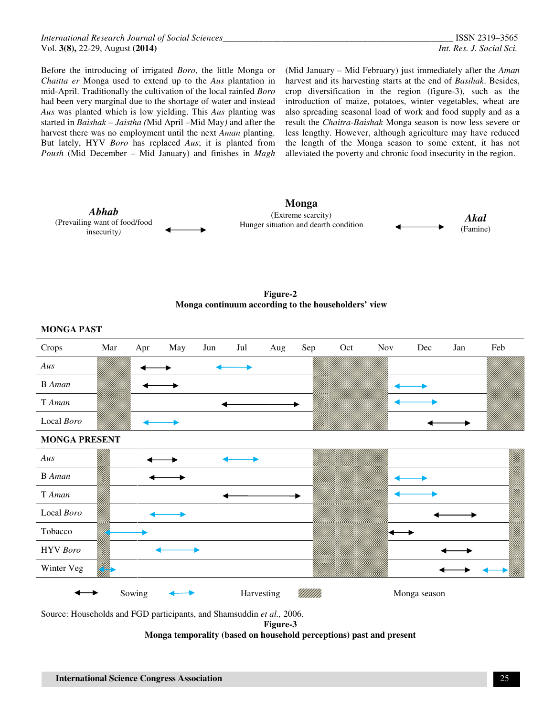Before the introducing of irrigated *Boro*, the little Monga or *Chaitta er* Monga used to extend up to the *Aus* plantation in mid-April. Traditionally the cultivation of the local rainfed *Boro*  had been very marginal due to the shortage of water and instead *Aus* was planted which is low yielding. This *Aus* planting was started in *Baishak – Jaistha (*Mid April –Mid May*)* and after the harvest there was no employment until the next *Aman* planting. But lately, HYV *Boro* has replaced *Aus*; it is planted from *Poush* (Mid December – Mid January) and finishes in *Magh* 

(Mid January – Mid February) just immediately after the *Aman*  harvest and its harvesting starts at the end of *Basihak*. Besides, crop diversification in the region (figure-3), such as the introduction of maize, potatoes, winter vegetables, wheat are also spreading seasonal load of work and food supply and as a result the *Chaitra-Baishak* Monga season is now less severe or less lengthy. However, although agriculture may have reduced the length of the Monga season to some extent, it has not alleviated the poverty and chronic food insecurity in the region.



**Figure-2 Monga continuum according to the householders' view**



Source: Households and FGD participants, and Shamsuddin *et al.,* 2006.

**Figure-3** 

**Monga temporality (based on household perceptions) past and present**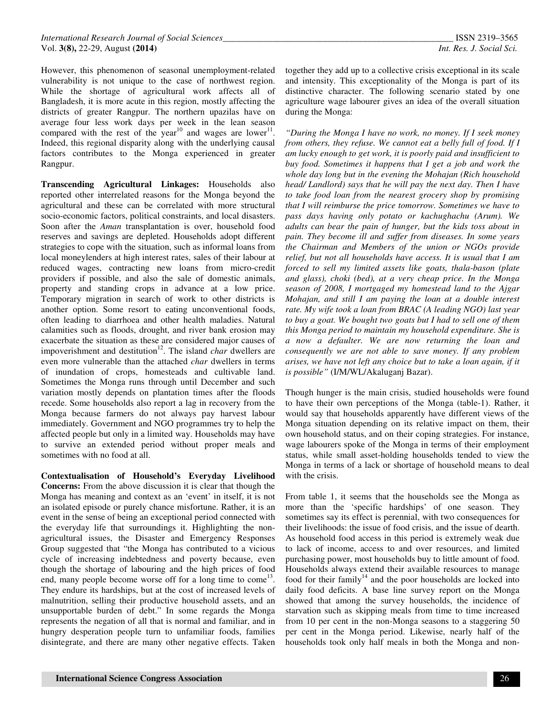However, this phenomenon of seasonal unemployment-related vulnerability is not unique to the case of northwest region. While the shortage of agricultural work affects all of Bangladesh, it is more acute in this region, mostly affecting the districts of greater Rangpur. The northern upazilas have on average four less work days per week in the lean season compared with the rest of the year<sup>10</sup> and wages are lower<sup>11</sup>. Indeed, this regional disparity along with the underlying causal factors contributes to the Monga experienced in greater Rangpur.

**Transcending Agricultural Linkages:** Households also reported other interrelated reasons for the Monga beyond the agricultural and these can be correlated with more structural socio-economic factors, political constraints, and local disasters. Soon after the *Aman* transplantation is over, household food reserves and savings are depleted. Households adopt different strategies to cope with the situation, such as informal loans from local moneylenders at high interest rates, sales of their labour at reduced wages, contracting new loans from micro-credit providers if possible, and also the sale of domestic animals, property and standing crops in advance at a low price. Temporary migration in search of work to other districts is another option. Some resort to eating unconventional foods, often leading to diarrhoea and other health maladies. Natural calamities such as floods, drought, and river bank erosion may exacerbate the situation as these are considered major causes of impoverishment and destitution<sup>12</sup>. The island *char* dwellers are even more vulnerable than the attached *char* dwellers in terms of inundation of crops, homesteads and cultivable land. Sometimes the Monga runs through until December and such variation mostly depends on plantation times after the floods recede. Some households also report a lag in recovery from the Monga because farmers do not always pay harvest labour immediately. Government and NGO programmes try to help the affected people but only in a limited way. Households may have to survive an extended period without proper meals and sometimes with no food at all.

**Contextualisation of Household's Everyday Livelihood Concerns:** From the above discussion it is clear that though the Monga has meaning and context as an 'event' in itself, it is not an isolated episode or purely chance misfortune. Rather, it is an event in the sense of being an exceptional period connected with the everyday life that surroundings it. Highlighting the nonagricultural issues, the Disaster and Emergency Responses Group suggested that "the Monga has contributed to a vicious cycle of increasing indebtedness and poverty because, even though the shortage of labouring and the high prices of food end, many people become worse off for a long time to come<sup>13</sup>. They endure its hardships, but at the cost of increased levels of malnutrition, selling their productive household assets, and an unsupportable burden of debt." In some regards the Monga represents the negation of all that is normal and familiar, and in hungry desperation people turn to unfamiliar foods, families disintegrate, and there are many other negative effects. Taken

together they add up to a collective crisis exceptional in its scale and intensity. This exceptionality of the Monga is part of its distinctive character. The following scenario stated by one agriculture wage labourer gives an idea of the overall situation during the Monga:

*"During the Monga I have no work, no money. If I seek money from others, they refuse. We cannot eat a belly full of food. If I am lucky enough to get work, it is poorly paid and insufficient to buy food. Sometimes it happens that I get a job and work the whole day long but in the evening the Mohajan (Rich household head/ Landlord) says that he will pay the next day. Then I have to take food loan from the nearest grocery shop by promising that I will reimburse the price tomorrow. Sometimes we have to pass days having only potato or kachughachu (Arum). We adults can bear the pain of hunger, but the kids toss about in pain. They become ill and suffer from diseases. In some years the Chairman and Members of the union or NGOs provide relief, but not all households have access. It is usual that I am forced to sell my limited assets like goats, thala-bason (plate and glass), choki (bed), at a very cheap price. In the Monga season of 2008, I mortgaged my homestead land to the Ajgar Mohajan, and still I am paying the loan at a double interest rate. My wife took a loan from BRAC (A leading NGO) last year to buy a goat. We bought two goats but I had to sell one of them this Monga period to maintain my household expenditure. She is a now a defaulter. We are now returning the loan and consequently we are not able to save money. If any problem arises, we have not left any choice but to take a loan again, if it is possible"* (I/M/WL/Akaluganj Bazar).

Though hunger is the main crisis, studied households were found to have their own perceptions of the Monga (table-1). Rather, it would say that households apparently have different views of the Monga situation depending on its relative impact on them, their own household status, and on their coping strategies. For instance, wage labourers spoke of the Monga in terms of their employment status, while small asset-holding households tended to view the Monga in terms of a lack or shortage of household means to deal with the crisis.

From table 1, it seems that the households see the Monga as more than the 'specific hardships' of one season. They sometimes say its effect is perennial, with two consequences for their livelihoods: the issue of food crisis, and the issue of dearth. As household food access in this period is extremely weak due to lack of income, access to and over resources, and limited purchasing power, most households buy to little amount of food. Households always extend their available resources to manage food for their family<sup>14</sup> and the poor households are locked into daily food deficits. A base line survey report on the Monga showed that among the survey households, the incidence of starvation such as skipping meals from time to time increased from 10 per cent in the non-Monga seasons to a staggering 50 per cent in the Monga period. Likewise, nearly half of the households took only half meals in both the Monga and non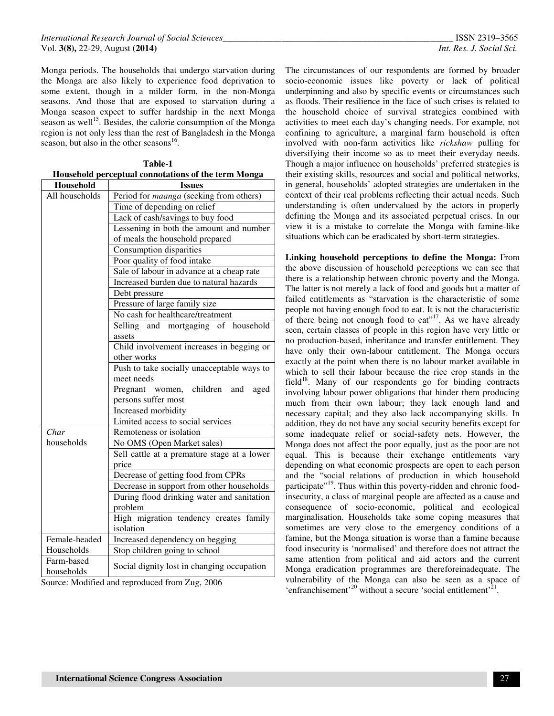Monga periods. The households that undergo starvation during the Monga are also likely to experience food deprivation to some extent, though in a milder form, in the non-Monga seasons. And those that are exposed to starvation during a Monga season expect to suffer hardship in the next Monga season as well<sup>15</sup>. Besides, the calorie consumption of the Monga region is not only less than the rest of Bangladesh in the Monga season, but also in the other seasons $^{16}$ .

|                | Household perceptual connotations of the term Monga |
|----------------|-----------------------------------------------------|
| Household      | <b>Issues</b>                                       |
| All households | Period for maanga (seeking from others)             |
|                | Time of depending on relief                         |
|                | Lack of cash/savings to buy food                    |
|                | Lessening in both the amount and number             |
|                | of meals the household prepared                     |
|                | Consumption disparities                             |
|                | Poor quality of food intake                         |
|                | Sale of labour in advance at a cheap rate           |
|                | Increased burden due to natural hazards             |
|                | Debt pressure                                       |
|                | Pressure of large family size                       |
|                | No cash for healthcare/treatment                    |
|                | Selling and mortgaging of household                 |
|                | assets                                              |
|                | Child involvement increases in begging or           |
|                | other works                                         |
|                | Push to take socially unacceptable ways to          |
|                | meet needs                                          |
|                | Pregnant<br>children<br>women,<br>and<br>aged       |
|                | persons suffer most                                 |
|                | Increased morbidity                                 |
|                | Limited access to social services                   |
| Char           | Remoteness or isolation                             |
| households     | No OMS (Open Market sales)                          |
|                | Sell cattle at a premature stage at a lower         |
|                | price                                               |
|                | Decrease of getting food from CPRs                  |
|                | Decrease in support from other households           |
|                | During flood drinking water and sanitation          |
|                | problem                                             |
|                | High migration tendency creates family              |
|                | isolation                                           |
| Female-headed  | Increased dependency on begging                     |
| Households     | Stop children going to school                       |
| Farm-based     | Social dignity lost in changing occupation          |
| households     |                                                     |

**Table-1** 

Source: Modified and reproduced from Zug, 2006

The circumstances of our respondents are formed by broader socio-economic issues like poverty or lack of political underpinning and also by specific events or circumstances such as floods. Their resilience in the face of such crises is related to the household choice of survival strategies combined with activities to meet each day's changing needs. For example, not confining to agriculture, a marginal farm household is often involved with non-farm activities like *rickshaw* pulling for diversifying their income so as to meet their everyday needs. Though a major influence on households' preferred strategies is their existing skills, resources and social and political networks, in general, households' adopted strategies are undertaken in the context of their real problems reflecting their actual needs. Such understanding is often undervalued by the actors in properly defining the Monga and its associated perpetual crises. In our view it is a mistake to correlate the Monga with famine-like situations which can be eradicated by short-term strategies.

**Linking household perceptions to define the Monga:** From the above discussion of household perceptions we can see that there is a relationship between chronic poverty and the Monga. The latter is not merely a lack of food and goods but a matter of failed entitlements as "starvation is the characteristic of some people not having enough food to eat. It is not the characteristic of there being not enough food to eat"<sup>17</sup>. As we have already seen, certain classes of people in this region have very little or no production-based, inheritance and transfer entitlement. They have only their own-labour entitlement. The Monga occurs exactly at the point when there is no labour market available in which to sell their labour because the rice crop stands in the field $18$ . Many of our respondents go for binding contracts involving labour power obligations that hinder them producing much from their own labour; they lack enough land and necessary capital; and they also lack accompanying skills. In addition, they do not have any social security benefits except for some inadequate relief or social-safety nets. However, the Monga does not affect the poor equally, just as the poor are not equal. This is because their exchange entitlements vary depending on what economic prospects are open to each person and the "social relations of production in which household participate"<sup>19</sup>. Thus within this poverty-ridden and chronic foodinsecurity, a class of marginal people are affected as a cause and consequence of socio-economic, political and ecological marginalisation. Households take some coping measures that sometimes are very close to the emergency conditions of a famine, but the Monga situation is worse than a famine because food insecurity is 'normalised' and therefore does not attract the same attention from political and aid actors and the current Monga eradication programmes are thereforeinadequate. The vulnerability of the Monga can also be seen as a space of 'enfranchisement'<sup>20</sup> without a secure 'social entitlement'<sup>21</sup>.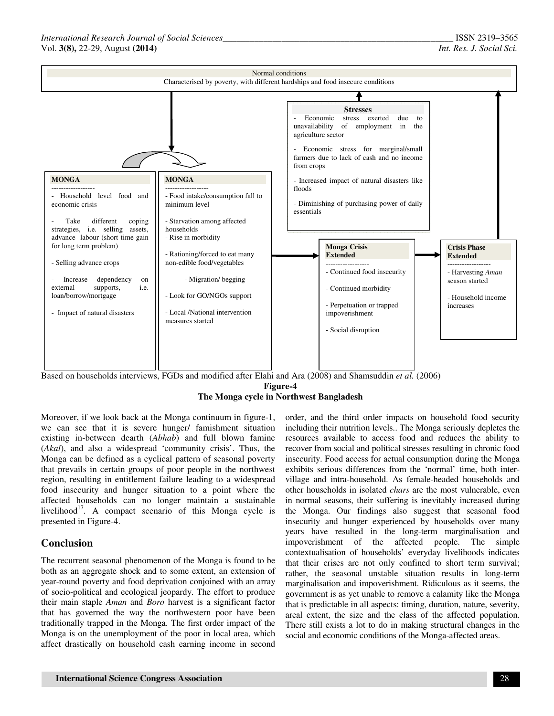

Based on households interviews, FGDs and modified after Elahi and Ara (2008) and Shamsuddin *et al.* (2006)

#### **Figure-4**

## **The Monga cycle in Northwest Bangladesh**

Moreover, if we look back at the Monga continuum in figure-1, we can see that it is severe hunger/ famishment situation existing in-between dearth (*Abhab*) and full blown famine (*Akal*), and also a widespread 'community crisis'. Thus, the Monga can be defined as a cyclical pattern of seasonal poverty that prevails in certain groups of poor people in the northwest region, resulting in entitlement failure leading to a widespread food insecurity and hunger situation to a point where the affected households can no longer maintain a sustainable livelihood $17$ . A compact scenario of this Monga cycle is presented in Figure-4.

## **Conclusion**

The recurrent seasonal phenomenon of the Monga is found to be both as an aggregate shock and to some extent, an extension of year-round poverty and food deprivation conjoined with an array of socio-political and ecological jeopardy. The effort to produce their main staple *Aman* and *Boro* harvest is a significant factor that has governed the way the northwestern poor have been traditionally trapped in the Monga. The first order impact of the Monga is on the unemployment of the poor in local area, which affect drastically on household cash earning income in second

order, and the third order impacts on household food security including their nutrition levels.. The Monga seriously depletes the resources available to access food and reduces the ability to recover from social and political stresses resulting in chronic food insecurity. Food access for actual consumption during the Monga exhibits serious differences from the 'normal' time, both intervillage and intra-household. As female-headed households and other households in isolated *chars* are the most vulnerable, even in normal seasons, their suffering is inevitably increased during the Monga. Our findings also suggest that seasonal food insecurity and hunger experienced by households over many years have resulted in the long-term marginalisation and impoverishment of the affected people. The simple contextualisation of households' everyday livelihoods indicates that their crises are not only confined to short term survival; rather, the seasonal unstable situation results in long-term marginalisation and impoverishment. Ridiculous as it seems, the government is as yet unable to remove a calamity like the Monga that is predictable in all aspects: timing, duration, nature, severity, areal extent, the size and the class of the affected population. There still exists a lot to do in making structural changes in the social and economic conditions of the Monga-affected areas.